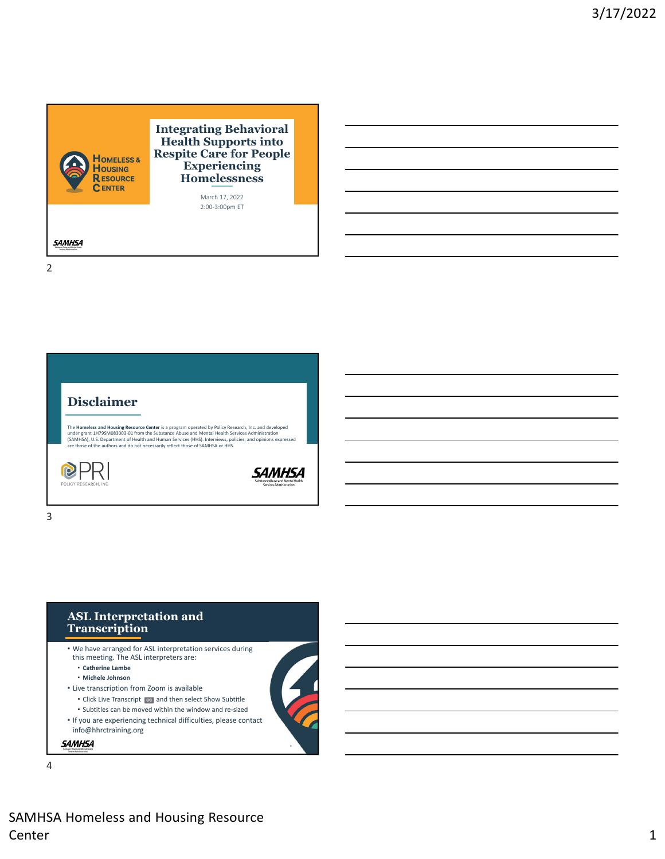





- We have arranged for ASL interpretation services during this meeting. The ASL interpreters are:
	- **Catherine Lambe**
	- **Michele Johnson**
- Live transcription from Zoom is available
	- Click Live Transcript [cc] and then select Show Subtitle
	- Subtitles can be moved within the window and re‐sized
- If you are experiencing technical difficulties, please contact info@hhrctraining.org

### **SAMHSA**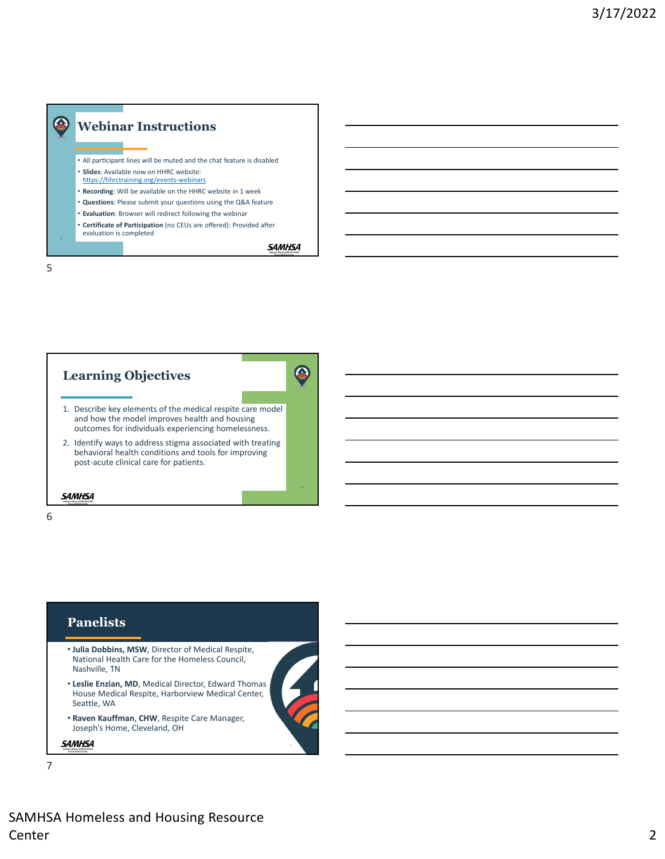# Q **Webinar Instructions**

- All participant lines will be muted and the chat feature is disabled
- **Slides**: Available now on HHRC website:
- https://hhrctraining.org/events‐webinars
- **Recording**: Will be available on the HHRC website in 1 week • **Questions**: Please submit your questions using the Q&A feature
- **Evaluation**: Browser will redirect following the webinar
- **Certificate of Participation** (no CEUs are offered): Provided after evaluation is completed

**SAMHSA** 



## **Panelists**

- **Julia Dobbins, MSW**, Director of Medical Respite, National Health Care for the Homeless Council, Nashville, TN
- **Leslie Enzian, MD**, Medical Director, Edward Thomas House Medical Respite, Harborview Medical Center, Seattle, WA
- **Raven Kauffman**, **CHW**, Respite Care Manager, Joseph's Home, Cleveland, OH

**SAMHSA**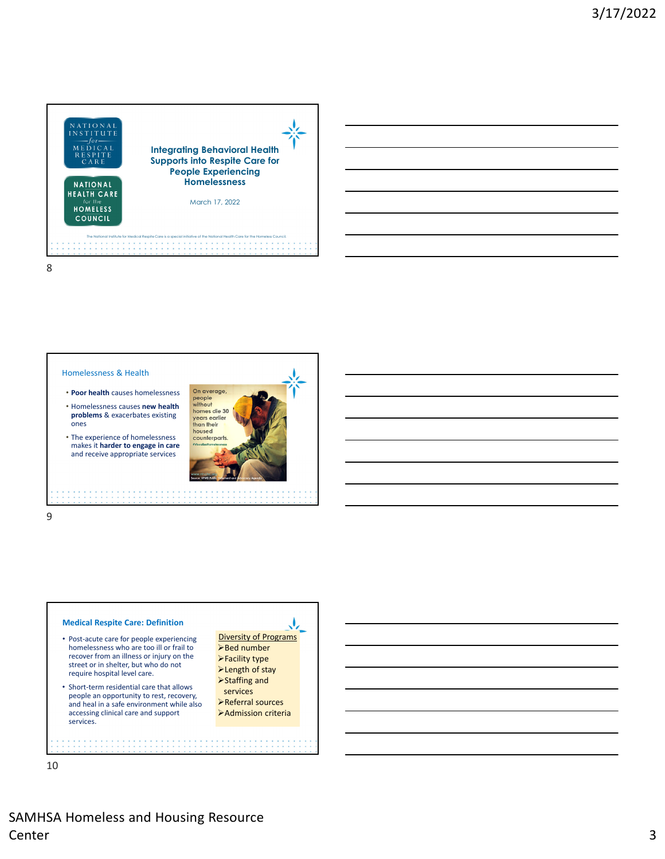



ones

- **Poor health** causes homelessness • Homelessness causes **new health problems** & exacerbates existing
- The experience of homelessness makes it **harder to engage in care** and receive appropriate services



#### 9

## **Medical Respite Care: Definition**

- Post‐acute care for people experiencing homelessness who are too ill or frail to recover from an illness or injury on the street or in shelter, but who do not require hospital level care.
- Short-term residential care that allows people an opportunity to rest, recovery, and heal in a safe environment while also accessing clinical care and support services.

Diversity of Programs **≻Bed number** Facility type **>Length of stay** Staffing and

J,

services Referral sources Admission criteria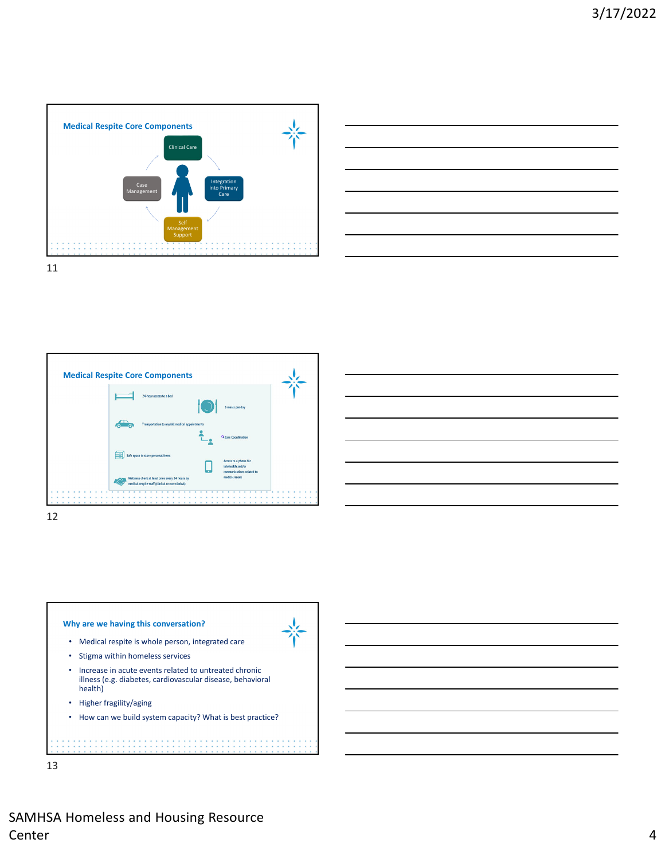









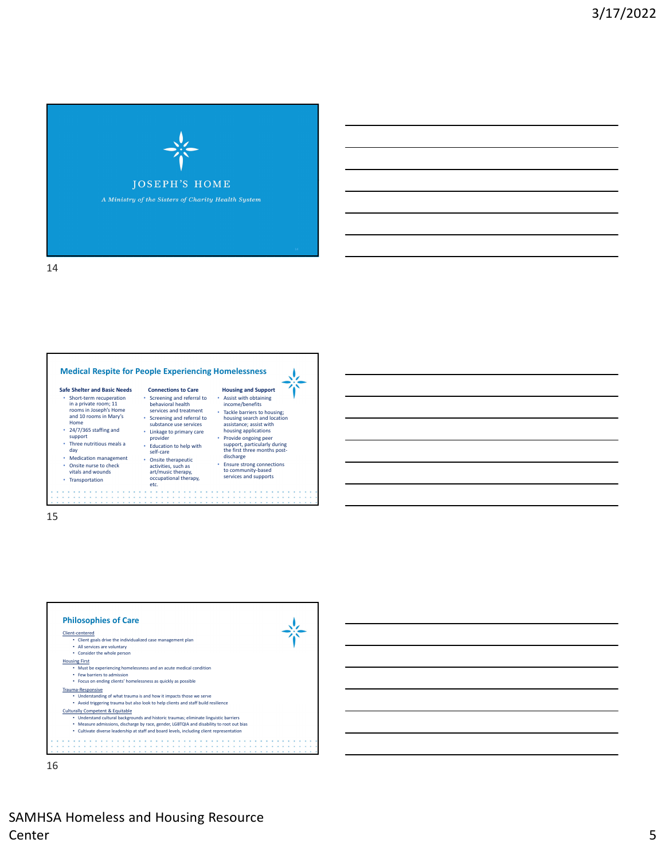



15





SAMHSA Homeless and Housing Resource Center 5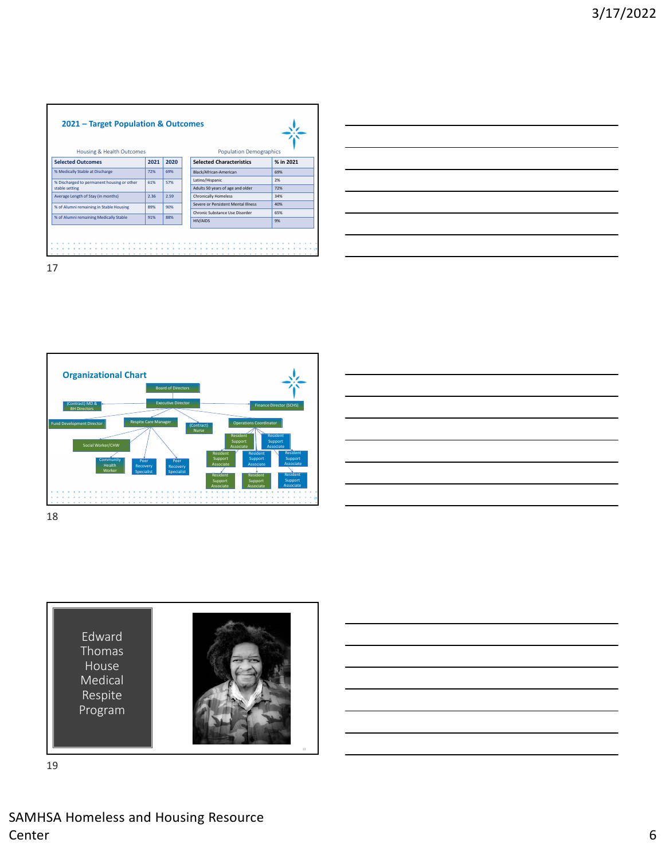







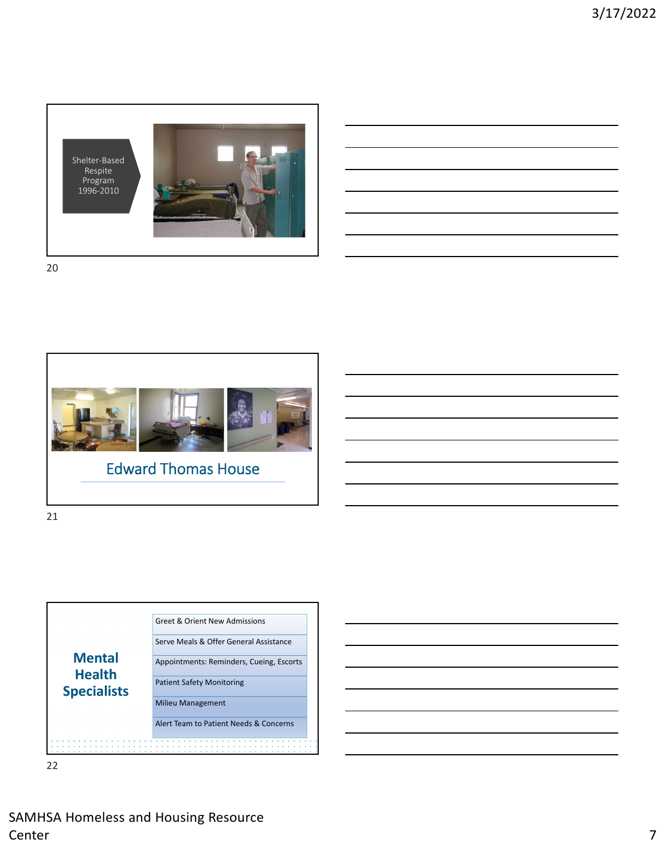



21



|                          |  |                                                                                                                         | <u> 2000 - Andrea Andrew Amerikaanse kommunister († 18</u>                                                           |                                   |  |
|--------------------------|--|-------------------------------------------------------------------------------------------------------------------------|----------------------------------------------------------------------------------------------------------------------|-----------------------------------|--|
| $\overline{\phantom{a}}$ |  |                                                                                                                         |                                                                                                                      |                                   |  |
|                          |  |                                                                                                                         | <u>. Kanada ah samu da kanada ah samu da kanada ah samu da kanada ah samu da kanada ah samu da kanada ah samu da</u> |                                   |  |
|                          |  | <u> 1989 - Johann Stein, mars an de Brasilia (b. 1989)</u>                                                              |                                                                                                                      |                                   |  |
|                          |  | <u> 1989 - Johann Harry Harry Harry Harry Harry Harry Harry Harry Harry Harry Harry Harry Harry Harry Harry Harry H</u> |                                                                                                                      | <b>Contract Contract Contract</b> |  |
|                          |  |                                                                                                                         |                                                                                                                      |                                   |  |
|                          |  |                                                                                                                         |                                                                                                                      |                                   |  |

SAMHSA Homeless and Housing Resource Center 2012 and 2012 and 2012 and 2012 and 2012 and 2012 and 2012 and 2012 and 2012 and 2012 and 201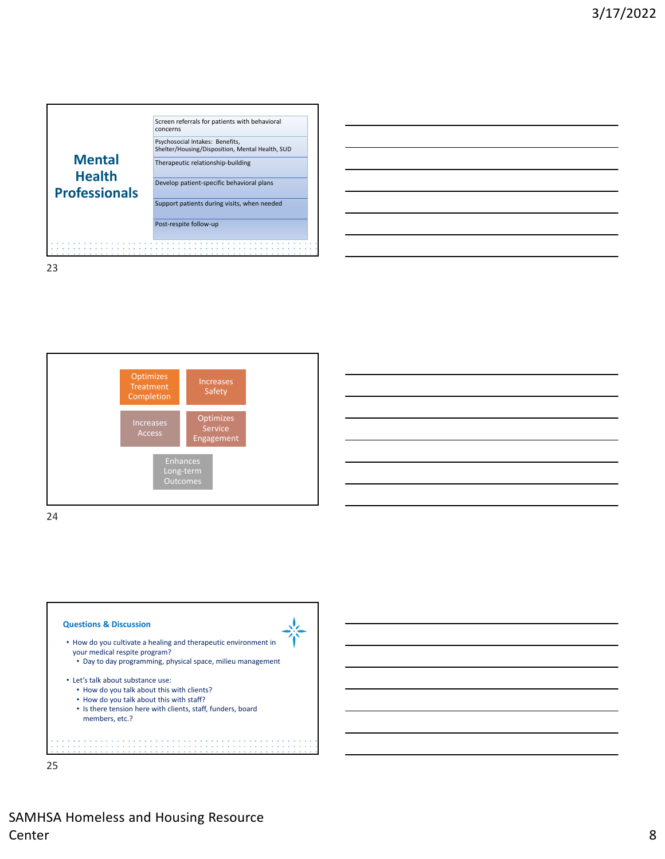











SAMHSA Homeless and Housing Resource Center 8